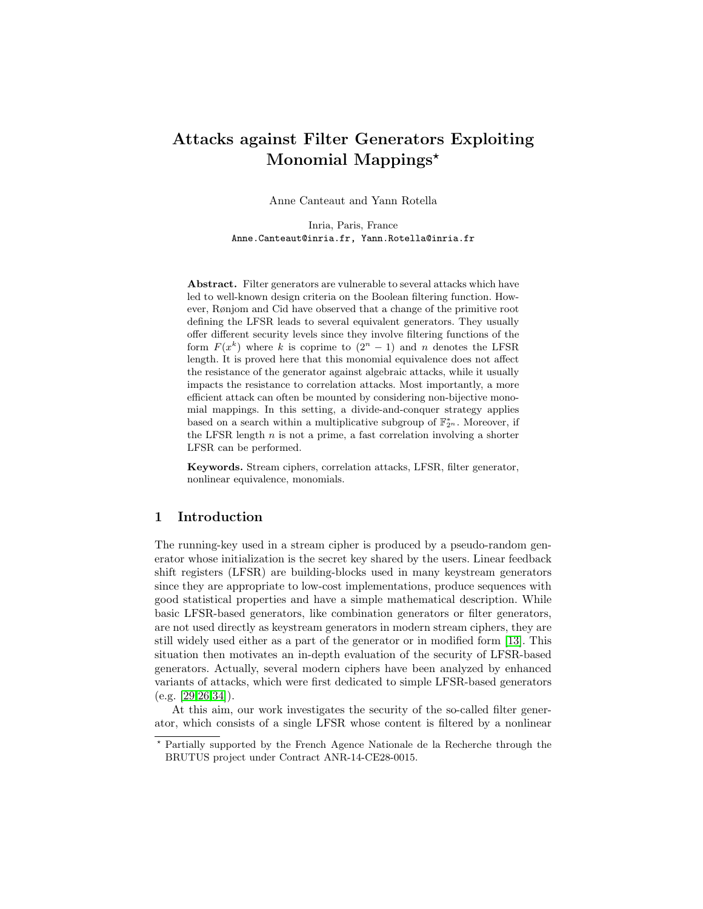# Attacks against Filter Generators Exploiting Monomial Mappings\*

Anne Canteaut and Yann Rotella

Inria, Paris, France Anne.Canteaut@inria.fr, Yann.Rotella@inria.fr

Abstract. Filter generators are vulnerable to several attacks which have led to well-known design criteria on the Boolean filtering function. However, Rønjom and Cid have observed that a change of the primitive root defining the LFSR leads to several equivalent generators. They usually offer different security levels since they involve filtering functions of the form  $F(x^k)$  where k is coprime to  $(2^n - 1)$  and n denotes the LFSR length. It is proved here that this monomial equivalence does not affect the resistance of the generator against algebraic attacks, while it usually impacts the resistance to correlation attacks. Most importantly, a more efficient attack can often be mounted by considering non-bijective monomial mappings. In this setting, a divide-and-conquer strategy applies based on a search within a multiplicative subgroup of  $\mathbb{F}_{2^n}^*$ . Moreover, if the LFSR length  $n$  is not a prime, a fast correlation involving a shorter LFSR can be performed.

Keywords. Stream ciphers, correlation attacks, LFSR, filter generator, nonlinear equivalence, monomials.

# 1 Introduction

The running-key used in a stream cipher is produced by a pseudo-random generator whose initialization is the secret key shared by the users. Linear feedback shift registers (LFSR) are building-blocks used in many keystream generators since they are appropriate to low-cost implementations, produce sequences with good statistical properties and have a simple mathematical description. While basic LFSR-based generators, like combination generators or filter generators, are not used directly as keystream generators in modern stream ciphers, they are still widely used either as a part of the generator or in modified form [\[13\]](#page-18-0). This situation then motivates an in-depth evaluation of the security of LFSR-based generators. Actually, several modern ciphers have been analyzed by enhanced variants of attacks, which were first dedicated to simple LFSR-based generators  $(e.g. [29, 26, 34]).$  $(e.g. [29, 26, 34]).$  $(e.g. [29, 26, 34]).$  $(e.g. [29, 26, 34]).$  $(e.g. [29, 26, 34]).$ 

At this aim, our work investigates the security of the so-called filter generator, which consists of a single LFSR whose content is filtered by a nonlinear

<sup>?</sup> Partially supported by the French Agence Nationale de la Recherche through the BRUTUS project under Contract ANR-14-CE28-0015.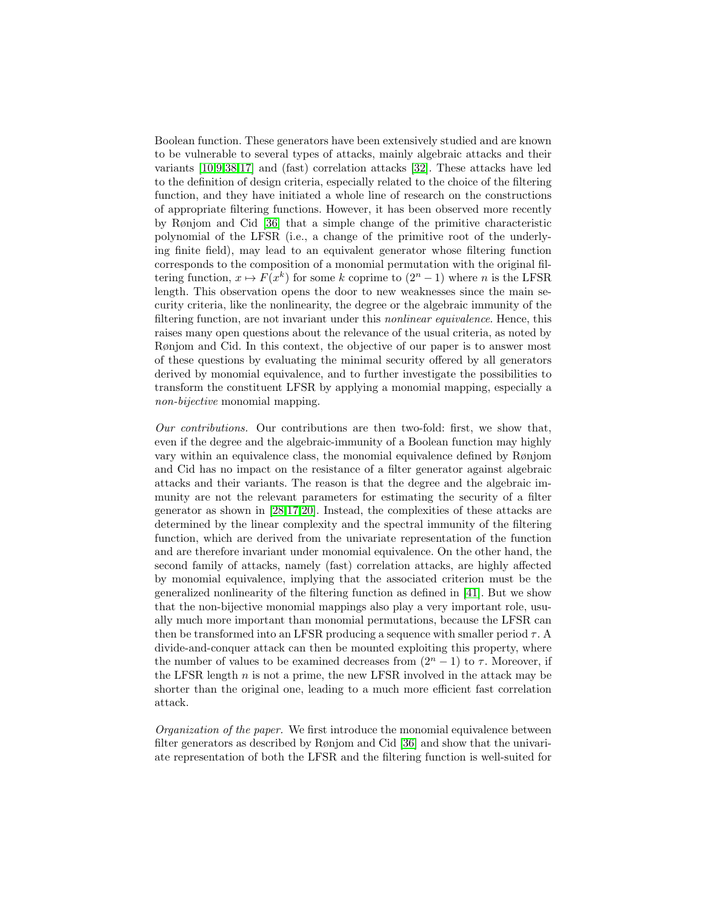Boolean function. These generators have been extensively studied and are known to be vulnerable to several types of attacks, mainly algebraic attacks and their variants [\[10](#page-18-1)[,9](#page-18-2)[,38](#page-19-3)[,17\]](#page-18-3) and (fast) correlation attacks [\[32\]](#page-19-4). These attacks have led to the definition of design criteria, especially related to the choice of the filtering function, and they have initiated a whole line of research on the constructions of appropriate filtering functions. However, it has been observed more recently by Rønjom and Cid [\[36\]](#page-19-5) that a simple change of the primitive characteristic polynomial of the LFSR (i.e., a change of the primitive root of the underlying finite field), may lead to an equivalent generator whose filtering function corresponds to the composition of a monomial permutation with the original filtering function,  $x \mapsto F(x^k)$  for some k coprime to  $(2^n - 1)$  where n is the LFSR length. This observation opens the door to new weaknesses since the main security criteria, like the nonlinearity, the degree or the algebraic immunity of the filtering function, are not invariant under this nonlinear equivalence. Hence, this raises many open questions about the relevance of the usual criteria, as noted by Rønjom and Cid. In this context, the objective of our paper is to answer most of these questions by evaluating the minimal security offered by all generators derived by monomial equivalence, and to further investigate the possibilities to transform the constituent LFSR by applying a monomial mapping, especially a non-bijective monomial mapping.

Our contributions. Our contributions are then two-fold: first, we show that, even if the degree and the algebraic-immunity of a Boolean function may highly vary within an equivalence class, the monomial equivalence defined by Rønjom and Cid has no impact on the resistance of a filter generator against algebraic attacks and their variants. The reason is that the degree and the algebraic immunity are not the relevant parameters for estimating the security of a filter generator as shown in [\[28](#page-19-6)[,17,](#page-18-3)[20\]](#page-19-7). Instead, the complexities of these attacks are determined by the linear complexity and the spectral immunity of the filtering function, which are derived from the univariate representation of the function and are therefore invariant under monomial equivalence. On the other hand, the second family of attacks, namely (fast) correlation attacks, are highly affected by monomial equivalence, implying that the associated criterion must be the generalized nonlinearity of the filtering function as defined in [\[41\]](#page-19-8). But we show that the non-bijective monomial mappings also play a very important role, usually much more important than monomial permutations, because the LFSR can then be transformed into an LFSR producing a sequence with smaller period  $\tau$ . A divide-and-conquer attack can then be mounted exploiting this property, where the number of values to be examined decreases from  $(2<sup>n</sup> - 1)$  to  $\tau$ . Moreover, if the LFSR length  $n$  is not a prime, the new LFSR involved in the attack may be shorter than the original one, leading to a much more efficient fast correlation attack.

Organization of the paper. We first introduce the monomial equivalence between filter generators as described by Rønjom and Cid [\[36\]](#page-19-5) and show that the univariate representation of both the LFSR and the filtering function is well-suited for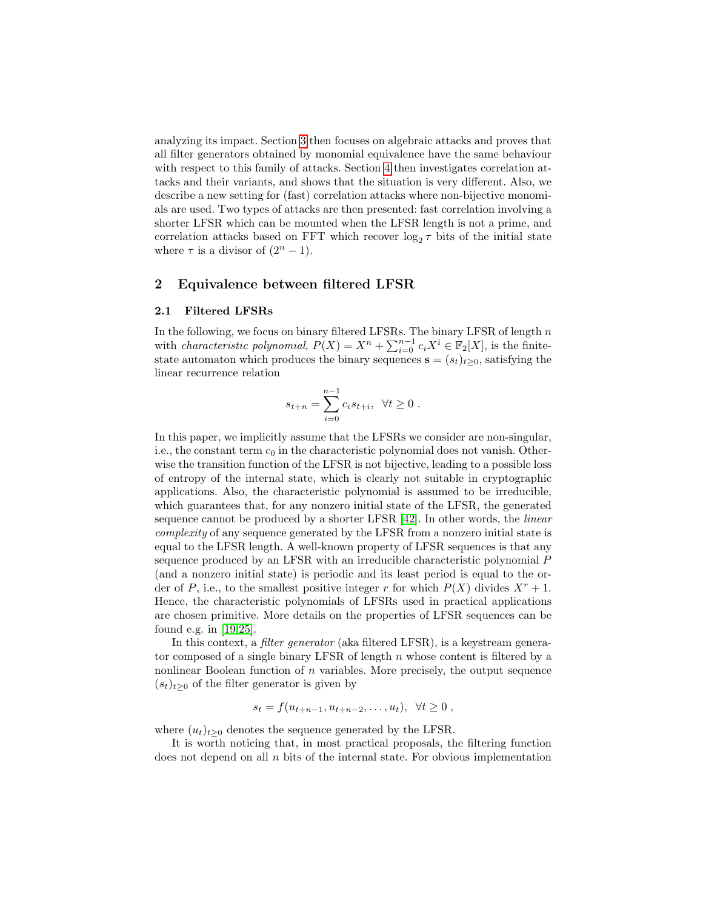analyzing its impact. Section [3](#page-6-0) then focuses on algebraic attacks and proves that all filter generators obtained by monomial equivalence have the same behaviour with respect to this family of attacks. Section [4](#page-8-0) then investigates correlation attacks and their variants, and shows that the situation is very different. Also, we describe a new setting for (fast) correlation attacks where non-bijective monomials are used. Two types of attacks are then presented: fast correlation involving a shorter LFSR which can be mounted when the LFSR length is not a prime, and correlation attacks based on FFT which recover  $\log_2 \tau$  bits of the initial state where  $\tau$  is a divisor of  $(2^{n} - 1)$ .

### 2 Equivalence between filtered LFSR

#### 2.1 Filtered LFSRs

In the following, we focus on binary filtered LFSRs. The binary LFSR of length  $n$ with *characteristic polynomial*,  $P(X) = X^n + \sum_{i=0}^{n-1} c_i X^i \in \mathbb{F}_2[X]$ , is the finitestate automaton which produces the binary sequences  $\mathbf{s} = (s_t)_{t>0}$ , satisfying the linear recurrence relation

$$
s_{t+n} = \sum_{i=0}^{n-1} c_i s_{t+i}, \ \forall t \ge 0.
$$

In this paper, we implicitly assume that the LFSRs we consider are non-singular, i.e., the constant term  $c_0$  in the characteristic polynomial does not vanish. Otherwise the transition function of the LFSR is not bijective, leading to a possible loss of entropy of the internal state, which is clearly not suitable in cryptographic applications. Also, the characteristic polynomial is assumed to be irreducible, which guarantees that, for any nonzero initial state of the LFSR, the generated sequence cannot be produced by a shorter LFSR [\[42\]](#page-19-9). In other words, the linear complexity of any sequence generated by the LFSR from a nonzero initial state is equal to the LFSR length. A well-known property of LFSR sequences is that any sequence produced by an LFSR with an irreducible characteristic polynomial P (and a nonzero initial state) is periodic and its least period is equal to the order of P, i.e., to the smallest positive integer r for which  $P(X)$  divides  $X^r + 1$ . Hence, the characteristic polynomials of LFSRs used in practical applications are chosen primitive. More details on the properties of LFSR sequences can be found e.g. in [\[19](#page-19-10)[,25\]](#page-19-11).

In this context, a *filter generator* (aka filtered LFSR), is a keystream generator composed of a single binary LFSR of length  $n$  whose content is filtered by a nonlinear Boolean function of  $n$  variables. More precisely, the output sequence  $(s_t)_{t>0}$  of the filter generator is given by

$$
s_t = f(u_{t+n-1}, u_{t+n-2}, \dots, u_t), \ \forall t \ge 0,
$$

where  $(u_t)_{t>0}$  denotes the sequence generated by the LFSR.

It is worth noticing that, in most practical proposals, the filtering function does not depend on all  $n$  bits of the internal state. For obvious implementation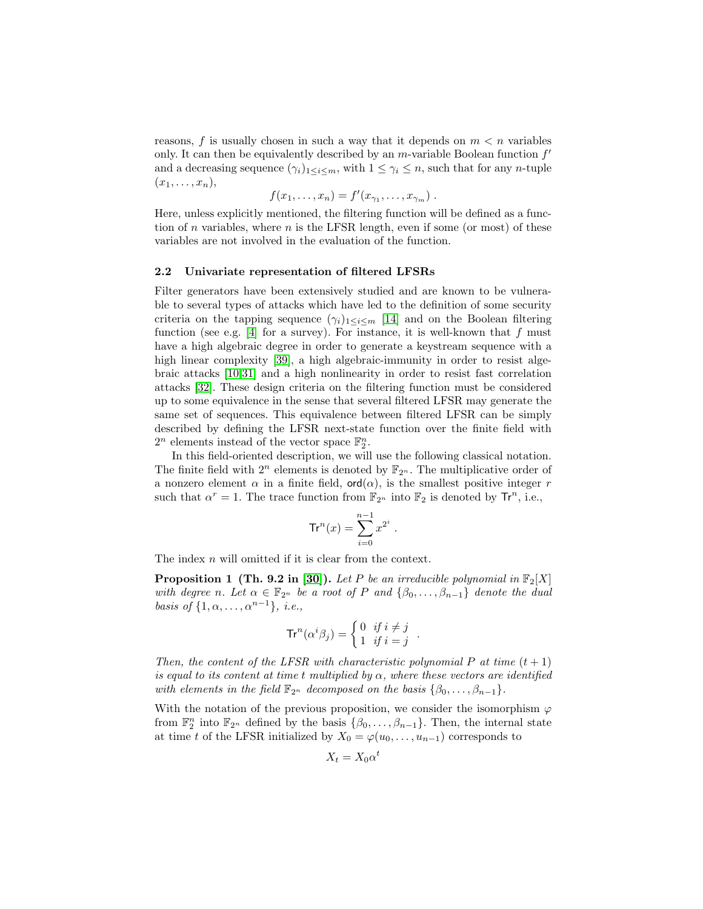reasons, f is usually chosen in such a way that it depends on  $m < n$  variables only. It can then be equivalently described by an  $m$ -variable Boolean function  $f'$ and a decreasing sequence  $(\gamma_i)_{1 \leq i \leq m}$ , with  $1 \leq \gamma_i \leq n$ , such that for any *n*-tuple  $(x_1,\ldots,x_n),$ 

$$
f(x_1,\ldots,x_n)=f'(x_{\gamma_1},\ldots,x_{\gamma_m}).
$$

Here, unless explicitly mentioned, the filtering function will be defined as a function of n variables, where n is the LFSR length, even if some (or most) of these variables are not involved in the evaluation of the function.

#### 2.2 Univariate representation of filtered LFSRs

Filter generators have been extensively studied and are known to be vulnerable to several types of attacks which have led to the definition of some security criteria on the tapping sequence  $(\gamma_i)_{1\leq i\leq m}$  [\[14\]](#page-18-4) and on the Boolean filtering function (see e.g. [\[4\]](#page-18-5) for a survey). For instance, it is well-known that  $f$  must have a high algebraic degree in order to generate a keystream sequence with a high linear complexity [\[39\]](#page-19-12), a high algebraic-immunity in order to resist algebraic attacks [\[10,](#page-18-1)[31\]](#page-19-13) and a high nonlinearity in order to resist fast correlation attacks [\[32\]](#page-19-4). These design criteria on the filtering function must be considered up to some equivalence in the sense that several filtered LFSR may generate the same set of sequences. This equivalence between filtered LFSR can be simply described by defining the LFSR next-state function over the finite field with  $2^n$  elements instead of the vector space  $\mathbb{F}_2^n$ .

In this field-oriented description, we will use the following classical notation. The finite field with  $2^n$  elements is denoted by  $\mathbb{F}_{2^n}$ . The multiplicative order of a nonzero element  $\alpha$  in a finite field,  $\text{ord}(\alpha)$ , is the smallest positive integer r such that  $\alpha^r = 1$ . The trace function from  $\mathbb{F}_{2^n}$  into  $\mathbb{F}_2$  is denoted by  $\text{Tr}^n$ , i.e.,

$$
\text{Tr}^n(x) = \sum_{i=0}^{n-1} x^{2^i}.
$$

The index n will omitted if it is clear from the context.

**Proposition 1 (Th. 9.2 in [\[30\]](#page-19-14)).** Let P be an irreducible polynomial in  $\mathbb{F}_2[X]$ with degree n. Let  $\alpha \in \mathbb{F}_{2^n}$  be a root of P and  $\{\beta_0, \ldots, \beta_{n-1}\}\$  denote the dual basis of  $\{1, \alpha, \ldots, \alpha^{n-1}\}, i.e.,$ 

$$
\operatorname{Tr}^n(\alpha^i \beta_j) = \begin{cases} 0 & \text{if } i \neq j \\ 1 & \text{if } i = j \end{cases}.
$$

Then, the content of the LFSR with characteristic polynomial P at time  $(t + 1)$ is equal to its content at time t multiplied by  $\alpha$ , where these vectors are identified with elements in the field  $\mathbb{F}_{2^n}$  decomposed on the basis  $\{\beta_0, \ldots, \beta_{n-1}\}.$ 

With the notation of the previous proposition, we consider the isomorphism  $\varphi$ from  $\mathbb{F}_2^n$  into  $\mathbb{F}_{2^n}$  defined by the basis  $\{\beta_0, \ldots, \beta_{n-1}\}$ . Then, the internal state at time t of the LFSR initialized by  $X_0 = \varphi(u_0, \ldots, u_{n-1})$  corresponds to

$$
X_t = X_0 \alpha
$$

t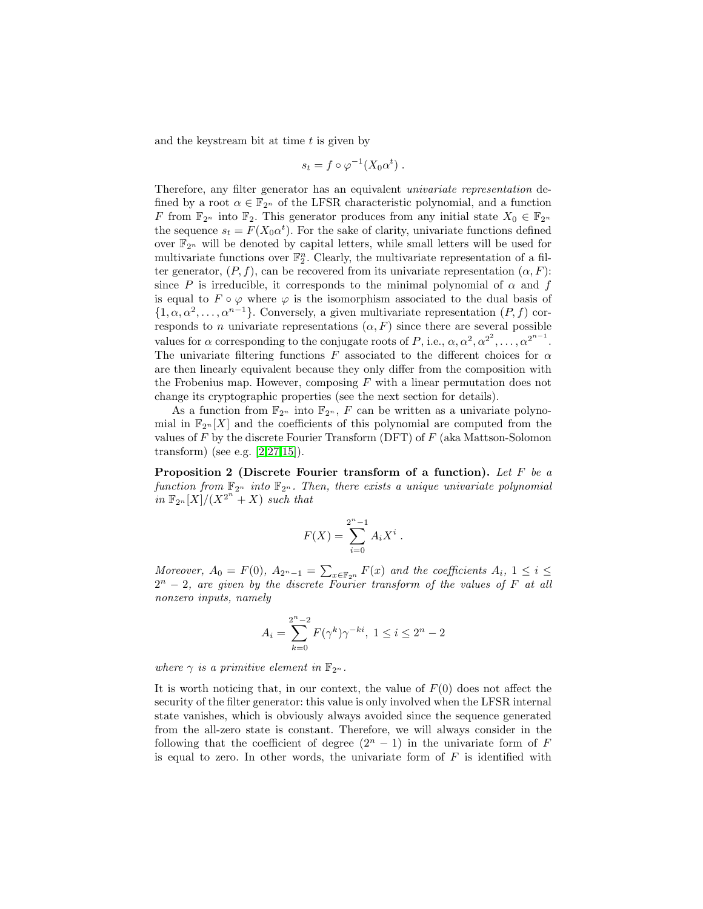and the keystream bit at time  $t$  is given by

$$
s_t = f \circ \varphi^{-1}(X_0 \alpha^t) .
$$

Therefore, any filter generator has an equivalent univariate representation defined by a root  $\alpha \in \mathbb{F}_{2^n}$  of the LFSR characteristic polynomial, and a function F from  $\mathbb{F}_{2^n}$  into  $\mathbb{F}_2$ . This generator produces from any initial state  $X_0 \in \mathbb{F}_{2^n}$ the sequence  $s_t = F(X_0 \alpha^t)$ . For the sake of clarity, univariate functions defined over  $\mathbb{F}_{2^n}$  will be denoted by capital letters, while small letters will be used for multivariate functions over  $\mathbb{F}_2^n$ . Clearly, the multivariate representation of a filter generator,  $(P, f)$ , can be recovered from its univariate representation  $(\alpha, F)$ : since P is irreducible, it corresponds to the minimal polynomial of  $\alpha$  and f is equal to  $F \circ \varphi$  where  $\varphi$  is the isomorphism associated to the dual basis of  $\{1, \alpha, \alpha^2, \dots, \alpha^{n-1}\}.$  Conversely, a given multivariate representation  $(P, f)$  corresponds to *n* univariate representations  $(\alpha, F)$  since there are several possible values for  $\alpha$  corresponding to the conjugate roots of P, i.e.,  $\alpha, \alpha^2, \alpha^{2^2}, \dots, \alpha^{2^{n-1}}$ . The univariate filtering functions F associated to the different choices for  $\alpha$ are then linearly equivalent because they only differ from the composition with the Frobenius map. However, composing  $F$  with a linear permutation does not change its cryptographic properties (see the next section for details).

As a function from  $\mathbb{F}_{2^n}$  into  $\mathbb{F}_{2^n}$ , F can be written as a univariate polynomial in  $\mathbb{F}_{2^n}[X]$  and the coefficients of this polynomial are computed from the values of  $F$  by the discrete Fourier Transform (DFT) of  $F$  (aka Mattson-Solomon transform) (see e.g.  $[2,27,15]$  $[2,27,15]$  $[2,27,15]$ ).

Proposition 2 (Discrete Fourier transform of a function). Let  $F$  be a function from  $\mathbb{F}_{2^n}$  into  $\mathbb{F}_{2^n}$ . Then, there exists a unique univariate polynomial in  $\mathbb{F}_{2^n}[X]/(X^{2^n}+X)$  such that

$$
F(X) = \sum_{i=0}^{2^n - 1} A_i X^i.
$$

Moreover,  $A_0 = F(0)$ ,  $A_{2^n-1} = \sum_{x \in \mathbb{F}_{2^n}} F(x)$  and the coefficients  $A_i$ ,  $1 \leq i \leq$  $2^{n} - 2$ , are given by the discrete Fourier transform of the values of F at all nonzero inputs, namely

$$
A_i = \sum_{k=0}^{2^n - 2} F(\gamma^k) \gamma^{-ki}, \ 1 \le i \le 2^n - 2
$$

where  $\gamma$  is a primitive element in  $\mathbb{F}_{2^n}$ .

It is worth noticing that, in our context, the value of  $F(0)$  does not affect the security of the filter generator: this value is only involved when the LFSR internal state vanishes, which is obviously always avoided since the sequence generated from the all-zero state is constant. Therefore, we will always consider in the following that the coefficient of degree  $(2^{n} - 1)$  in the univariate form of F is equal to zero. In other words, the univariate form of  $F$  is identified with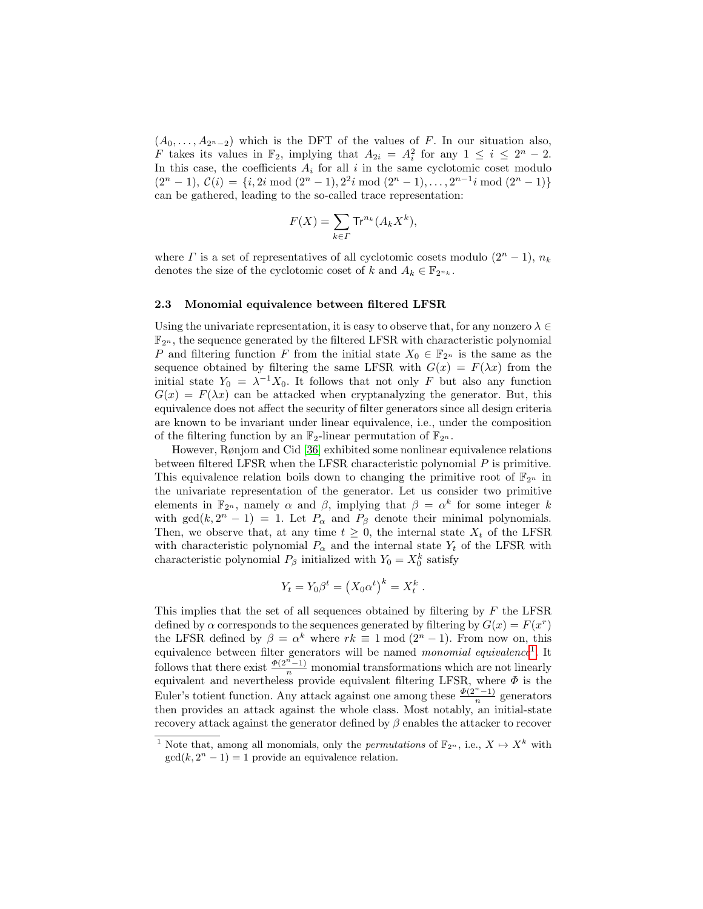$(A_0, \ldots, A_{2n-2})$  which is the DFT of the values of F. In our situation also, F takes its values in  $\mathbb{F}_2$ , implying that  $A_{2i} = A_i^2$  for any  $1 \leq i \leq 2^n - 2$ . In this case, the coefficients  $A_i$  for all i in the same cyclotomic coset modulo  $(2^{n} - 1), C(i) = \{i, 2i \mod (2^{n} - 1), 2^{2}i \mod (2^{n} - 1), \ldots, 2^{n-1}i \mod (2^{n} - 1)\}\$ can be gathered, leading to the so-called trace representation:

$$
F(X) = \sum_{k \in \varGamma} \mathrm{Tr}^{n_k}(A_k X^k),
$$

where  $\Gamma$  is a set of representatives of all cyclotomic cosets modulo  $(2^{n} - 1)$ ,  $n_{k}$ denotes the size of the cyclotomic coset of k and  $A_k \in \mathbb{F}_{2^{n_k}}$ .

#### 2.3 Monomial equivalence between filtered LFSR

Using the univariate representation, it is easy to observe that, for any nonzero  $\lambda \in$  $\mathbb{F}_{2^n}$ , the sequence generated by the filtered LFSR with characteristic polynomial P and filtering function F from the initial state  $X_0 \in \mathbb{F}_{2^n}$  is the same as the sequence obtained by filtering the same LFSR with  $G(x) = F(\lambda x)$  from the initial state  $Y_0 = \lambda^{-1} X_0$ . It follows that not only F but also any function  $G(x) = F(\lambda x)$  can be attacked when cryptanalyzing the generator. But, this equivalence does not affect the security of filter generators since all design criteria are known to be invariant under linear equivalence, i.e., under the composition of the filtering function by an  $\mathbb{F}_2$ -linear permutation of  $\mathbb{F}_{2^n}$ .

However, Rønjom and Cid [\[36\]](#page-19-5) exhibited some nonlinear equivalence relations between filtered LFSR when the LFSR characteristic polynomial  $P$  is primitive. This equivalence relation boils down to changing the primitive root of  $\mathbb{F}_{2^n}$  in the univariate representation of the generator. Let us consider two primitive elements in  $\mathbb{F}_{2^n}$ , namely  $\alpha$  and  $\beta$ , implying that  $\beta = \alpha^k$  for some integer k with  $gcd(k, 2^n - 1) = 1$ . Let  $P_\alpha$  and  $P_\beta$  denote their minimal polynomials. Then, we observe that, at any time  $t \geq 0$ , the internal state  $X_t$  of the LFSR with characteristic polynomial  $P_{\alpha}$  and the internal state  $Y_t$  of the LFSR with characteristic polynomial  $P_\beta$  initialized with  $Y_0 = X_0^k$  satisfy

$$
Y_t = Y_0 \beta^t = (X_0 \alpha^t)^k = X_t^k.
$$

This implies that the set of all sequences obtained by filtering by  $F$  the LFSR defined by  $\alpha$  corresponds to the sequences generated by filtering by  $G(x) = F(x^r)$ the LFSR defined by  $\beta = \alpha^k$  where  $rk \equiv 1 \mod (2^n - 1)$ . From now on, this equivalence between filter generators will be named *monomial equivalence*<sup>[1](#page-5-0)</sup>. It follows that there exist  $\frac{\Phi(2^{n}-1)}{n}$  monomial transformations which are not linearly equivalent and nevertheless provide equivalent filtering LFSR, where  $\Phi$  is the Euler's totient function. Any attack against one among these  $\frac{\Phi(2^n-1)}{n}$  generators then provides an attack against the whole class. Most notably, an initial-state recovery attack against the generator defined by  $\beta$  enables the attacker to recover

<span id="page-5-0"></span><sup>&</sup>lt;sup>1</sup> Note that, among all monomials, only the *permutations* of  $\mathbb{F}_{2^n}$ , i.e.,  $X \mapsto X^k$  with  $gcd(k, 2<sup>n</sup> - 1) = 1$  provide an equivalence relation.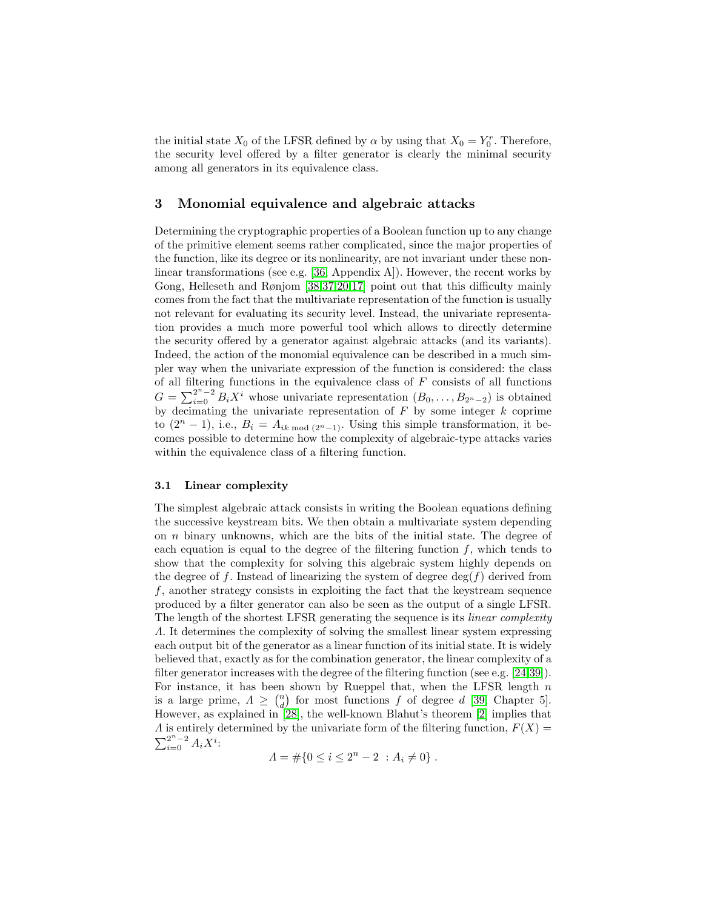the initial state  $X_0$  of the LFSR defined by  $\alpha$  by using that  $X_0 = Y_0^r$ . Therefore, the security level offered by a filter generator is clearly the minimal security among all generators in its equivalence class.

### <span id="page-6-0"></span>3 Monomial equivalence and algebraic attacks

Determining the cryptographic properties of a Boolean function up to any change of the primitive element seems rather complicated, since the major properties of the function, like its degree or its nonlinearity, are not invariant under these nonlinear transformations (see e.g. [\[36,](#page-19-5) Appendix A]). However, the recent works by Gong, Helleseth and Rønjom [\[38,](#page-19-3)[37,](#page-19-16)[20,](#page-19-7)[17\]](#page-18-3) point out that this difficulty mainly comes from the fact that the multivariate representation of the function is usually not relevant for evaluating its security level. Instead, the univariate representation provides a much more powerful tool which allows to directly determine the security offered by a generator against algebraic attacks (and its variants). Indeed, the action of the monomial equivalence can be described in a much simpler way when the univariate expression of the function is considered: the class of all filtering functions in the equivalence class of  $F$  consists of all functions  $G = \sum_{i=0}^{2^n-2} B_i X^i$  whose univariate representation  $(B_0, \ldots, B_{2^n-2})$  is obtained by decimating the univariate representation of  $F$  by some integer  $k$  coprime to  $(2^{n} - 1)$ , i.e.,  $B_i = A_{ik \mod (2^{n}-1)}$ . Using this simple transformation, it becomes possible to determine how the complexity of algebraic-type attacks varies within the equivalence class of a filtering function.

### 3.1 Linear complexity

The simplest algebraic attack consists in writing the Boolean equations defining the successive keystream bits. We then obtain a multivariate system depending on  $n$  binary unknowns, which are the bits of the initial state. The degree of each equation is equal to the degree of the filtering function  $f$ , which tends to show that the complexity for solving this algebraic system highly depends on the degree of f. Instead of linearizing the system of degree  $\deg(f)$  derived from f, another strategy consists in exploiting the fact that the keystream sequence produced by a filter generator can also be seen as the output of a single LFSR. The length of the shortest LFSR generating the sequence is its *linear complexity* Λ. It determines the complexity of solving the smallest linear system expressing each output bit of the generator as a linear function of its initial state. It is widely believed that, exactly as for the combination generator, the linear complexity of a filter generator increases with the degree of the filtering function (see e.g. [\[24,](#page-19-17)[39\]](#page-19-12)). For instance, it has been shown by Rueppel that, when the LFSR length  $n$ is a large prime,  $\Lambda \geq \binom{n}{d}$  for most functions f of degree d [\[39,](#page-19-12) Chapter 5]. However, as explained in [\[28\]](#page-19-6), the well-known Blahut's theorem [\[2\]](#page-18-6) implies that  $\Lambda$  is entirely determined by the univariate form of the filtering function,  $F(X) =$  $\sum_{i=0}^{2^n-2} A_i X^i$ :

$$
A = \#\{0 \le i \le 2^n - 2 \ : A_i \neq 0\} \ .
$$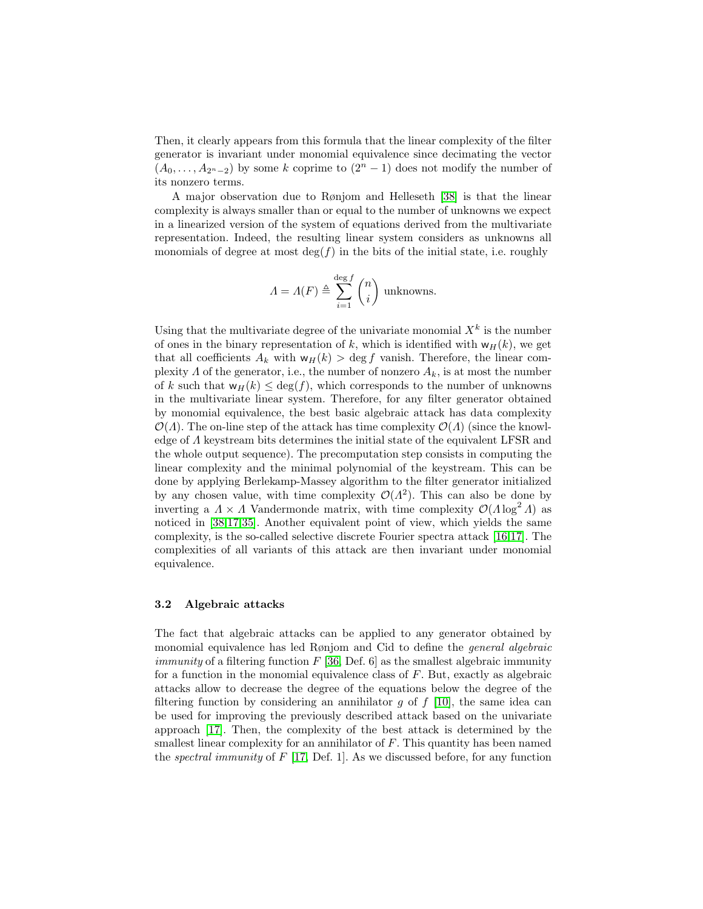Then, it clearly appears from this formula that the linear complexity of the filter generator is invariant under monomial equivalence since decimating the vector  $(A_0, \ldots, A_{2^n-2})$  by some k coprime to  $(2^n-1)$  does not modify the number of its nonzero terms.

A major observation due to Rønjom and Helleseth [\[38\]](#page-19-3) is that the linear complexity is always smaller than or equal to the number of unknowns we expect in a linearized version of the system of equations derived from the multivariate representation. Indeed, the resulting linear system considers as unknowns all monomials of degree at most  $\deg(f)$  in the bits of the initial state, i.e. roughly

$$
\Lambda = \Lambda(F) \triangleq \sum_{i=1}^{\deg f} \binom{n}{i} \text{ unknowns.}
$$

Using that the multivariate degree of the univariate monomial  $X^k$  is the number of ones in the binary representation of k, which is identified with  $w_H(k)$ , we get that all coefficients  $A_k$  with  $w_H(k) > \deg f$  vanish. Therefore, the linear complexity  $\Lambda$  of the generator, i.e., the number of nonzero  $A_k$ , is at most the number of k such that  $w_H(k) \leq deg(f)$ , which corresponds to the number of unknowns in the multivariate linear system. Therefore, for any filter generator obtained by monomial equivalence, the best basic algebraic attack has data complexity  $\mathcal{O}(\Lambda)$ . The on-line step of the attack has time complexity  $\mathcal{O}(\Lambda)$  (since the knowledge of Λ keystream bits determines the initial state of the equivalent LFSR and the whole output sequence). The precomputation step consists in computing the linear complexity and the minimal polynomial of the keystream. This can be done by applying Berlekamp-Massey algorithm to the filter generator initialized by any chosen value, with time complexity  $\mathcal{O}(A^2)$ . This can also be done by inverting a  $\Lambda \times \Lambda$  Vandermonde matrix, with time complexity  $\mathcal{O}(\Lambda \log^2 \Lambda)$  as noticed in [\[38](#page-19-3)[,17,](#page-18-3)[35\]](#page-19-18). Another equivalent point of view, which yields the same complexity, is the so-called selective discrete Fourier spectra attack [\[16,](#page-18-8)[17\]](#page-18-3). The complexities of all variants of this attack are then invariant under monomial equivalence.

#### 3.2 Algebraic attacks

The fact that algebraic attacks can be applied to any generator obtained by monomial equivalence has led Rønjom and Cid to define the general algebraic *immunity* of a filtering function  $F$  [\[36,](#page-19-5) Def. 6] as the smallest algebraic immunity for a function in the monomial equivalence class of  $F$ . But, exactly as algebraic attacks allow to decrease the degree of the equations below the degree of the filtering function by considering an annihilator q of  $f$  [\[10\]](#page-18-1), the same idea can be used for improving the previously described attack based on the univariate approach [\[17\]](#page-18-3). Then, the complexity of the best attack is determined by the smallest linear complexity for an annihilator of  $F$ . This quantity has been named the spectral immunity of  $F$  [\[17,](#page-18-3) Def. 1]. As we discussed before, for any function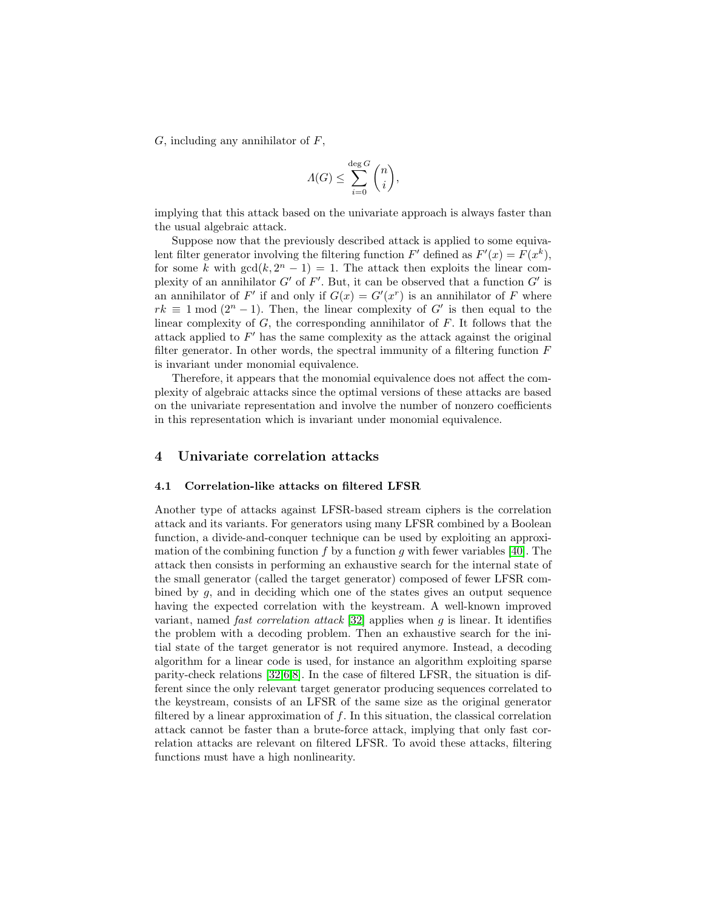$G$ , including any annihilator of  $F$ ,

$$
\Lambda(G) \le \sum_{i=0}^{\deg G} \binom{n}{i},
$$

implying that this attack based on the univariate approach is always faster than the usual algebraic attack.

Suppose now that the previously described attack is applied to some equivalent filter generator involving the filtering function  $F'$  defined as  $F'(x) = F(x^k)$ , for some k with  $gcd(k, 2^n - 1) = 1$ . The attack then exploits the linear complexity of an annihilator  $G'$  of  $F'$ . But, it can be observed that a function  $G'$  is an annihilator of F' if and only if  $G(x) = G'(x^r)$  is an annihilator of F where  $rk \equiv 1 \mod (2^n - 1)$ . Then, the linear complexity of G' is then equal to the linear complexity of  $G$ , the corresponding annihilator of  $F$ . It follows that the attack applied to  $F'$  has the same complexity as the attack against the original filter generator. In other words, the spectral immunity of a filtering function  $F$ is invariant under monomial equivalence.

Therefore, it appears that the monomial equivalence does not affect the complexity of algebraic attacks since the optimal versions of these attacks are based on the univariate representation and involve the number of nonzero coefficients in this representation which is invariant under monomial equivalence.

# <span id="page-8-0"></span>4 Univariate correlation attacks

### 4.1 Correlation-like attacks on filtered LFSR

Another type of attacks against LFSR-based stream ciphers is the correlation attack and its variants. For generators using many LFSR combined by a Boolean function, a divide-and-conquer technique can be used by exploiting an approxi-mation of the combining function f by a function q with fewer variables [\[40\]](#page-19-19). The attack then consists in performing an exhaustive search for the internal state of the small generator (called the target generator) composed of fewer LFSR combined by g, and in deciding which one of the states gives an output sequence having the expected correlation with the keystream. A well-known improved variant, named *fast correlation attack* [\[32\]](#page-19-4) applies when  $q$  is linear. It identifies the problem with a decoding problem. Then an exhaustive search for the initial state of the target generator is not required anymore. Instead, a decoding algorithm for a linear code is used, for instance an algorithm exploiting sparse parity-check relations [\[32](#page-19-4)[,6,](#page-18-9)[8\]](#page-18-10). In the case of filtered LFSR, the situation is different since the only relevant target generator producing sequences correlated to the keystream, consists of an LFSR of the same size as the original generator filtered by a linear approximation of  $f$ . In this situation, the classical correlation attack cannot be faster than a brute-force attack, implying that only fast correlation attacks are relevant on filtered LFSR. To avoid these attacks, filtering functions must have a high nonlinearity.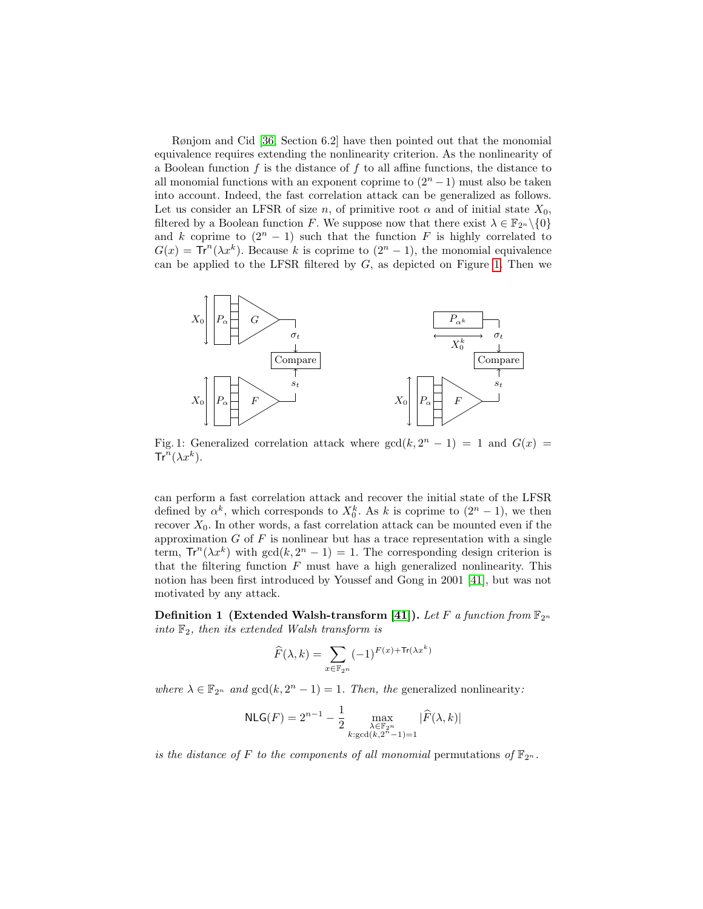Rønjom and Cid [\[36,](#page-19-5) Section 6.2] have then pointed out that the monomial equivalence requires extending the nonlinearity criterion. As the nonlinearity of a Boolean function  $f$  is the distance of  $f$  to all affine functions, the distance to all monomial functions with an exponent coprime to  $(2<sup>n</sup> - 1)$  must also be taken into account. Indeed, the fast correlation attack can be generalized as follows. Let us consider an LFSR of size n, of primitive root  $\alpha$  and of initial state  $X_0$ , filtered by a Boolean function F. We suppose now that there exist  $\lambda \in \mathbb{F}_{2^n} \setminus \{0\}$ and k coprime to  $(2^{n} - 1)$  such that the function F is highly correlated to  $G(x) = \text{Tr}^{n}(\lambda x^{k})$ . Because k is coprime to  $(2^{n} - 1)$ , the monomial equivalence can be applied to the LFSR filtered by  $G$ , as depicted on Figure [1.](#page-9-0) Then we

<span id="page-9-0"></span>

Fig. 1: Generalized correlation attack where  $gcd(k, 2^n - 1) = 1$  and  $G(x) =$  $\mathsf{Tr}^n(\lambda x^k)$ .

can perform a fast correlation attack and recover the initial state of the LFSR defined by  $\alpha^k$ , which corresponds to  $X_0^k$ . As k is coprime to  $(2^n - 1)$ , we then recover  $X_0$ . In other words, a fast correlation attack can be mounted even if the approximation  $G$  of  $F$  is nonlinear but has a trace representation with a single term,  $Tr^{n}(\lambda x^{k})$  with  $gcd(k, 2^{n} - 1) = 1$ . The corresponding design criterion is that the filtering function  $F$  must have a high generalized nonlinearity. This notion has been first introduced by Youssef and Gong in 2001 [\[41\]](#page-19-8), but was not motivated by any attack.

**Definition 1 (Extended Walsh-transform [\[41\]](#page-19-8)).** Let F a function from  $\mathbb{F}_{2^n}$ into  $\mathbb{F}_2$ , then its extended Walsh transform is

$$
\widehat{F}(\lambda,k)=\sum_{x\in\mathbb{F}_{2^n}}(-1)^{F(x)+\mathrm{Tr}(\lambda x^k)}
$$

where  $\lambda \in \mathbb{F}_{2^n}$  and  $gcd(k, 2^n - 1) = 1$ . Then, the generalized nonlinearity:

$$
\mathsf{NLG}(F) = 2^{n-1} - \frac{1}{2} \max_{\substack{\lambda \in \mathbb{F}_{2^n} \\ k:\gcd(k,2^n-1)=1}} |\widehat{F}(\lambda, k)|
$$

is the distance of F to the components of all monomial permutations of  $\mathbb{F}_{2^n}$ .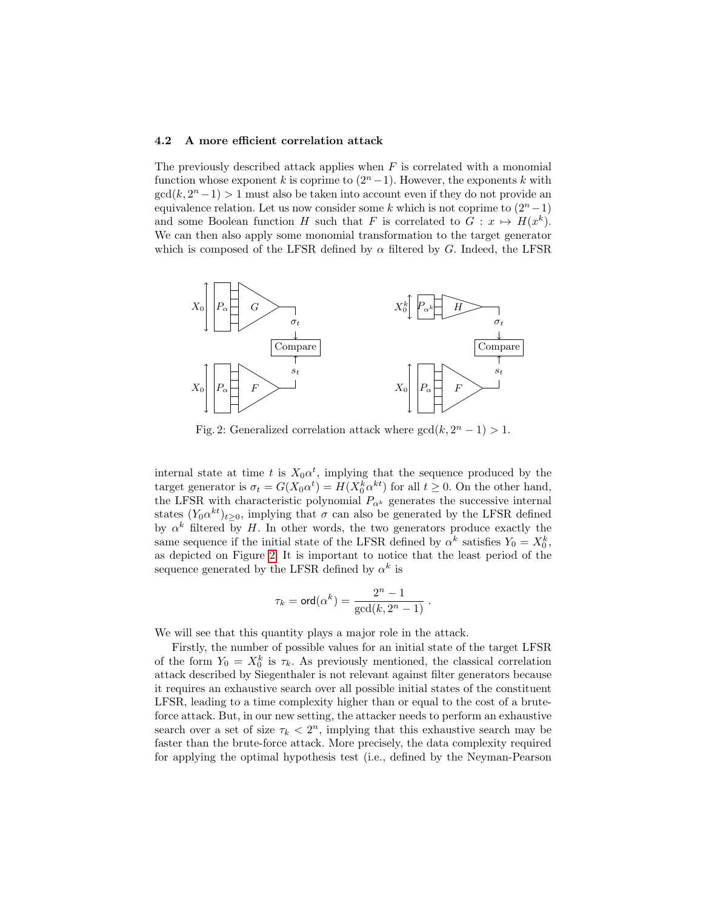#### 4.2 A more efficient correlation attack

The previously described attack applies when  $F$  is correlated with a monomial function whose exponent k is coprime to  $(2<sup>n</sup> - 1)$ . However, the exponents k with  $gcd(k, 2<sup>n</sup> - 1) > 1$  must also be taken into account even if they do not provide an equivalence relation. Let us now consider some k which is not coprime to  $(2<sup>n</sup> - 1)$ and some Boolean function H such that F is correlated to  $G: x \mapsto H(x^k)$ . We can then also apply some monomial transformation to the target generator which is composed of the LFSR defined by  $\alpha$  filtered by G. Indeed, the LFSR

<span id="page-10-0"></span>

Fig. 2: Generalized correlation attack where  $gcd(k, 2^n - 1) > 1$ .

internal state at time t is  $X_0 \alpha^t$ , implying that the sequence produced by the target generator is  $\sigma_t = G(X_0 \alpha^t) = H(X_0^k \alpha^{kt})$  for all  $t \geq 0$ . On the other hand, the LFSR with characteristic polynomial  $P_{\alpha^k}$  generates the successive internal states  $(Y_0 \alpha^{kt})_{t \geq 0}$ , implying that  $\sigma$  can also be generated by the LFSR defined by  $\alpha^k$  filtered by H. In other words, the two generators produce exactly the same sequence if the initial state of the LFSR defined by  $\alpha^k$  satisfies  $Y_0 = X_0^k$ , as depicted on Figure [2.](#page-10-0) It is important to notice that the least period of the sequence generated by the LFSR defined by  $\alpha^k$  is

$$
\tau_k = \text{ord}(\alpha^k) = \frac{2^n - 1}{\gcd(k, 2^n - 1)}.
$$

We will see that this quantity plays a major role in the attack.

Firstly, the number of possible values for an initial state of the target LFSR of the form  $Y_0 = X_0^k$  is  $\tau_k$ . As previously mentioned, the classical correlation attack described by Siegenthaler is not relevant against filter generators because it requires an exhaustive search over all possible initial states of the constituent LFSR, leading to a time complexity higher than or equal to the cost of a bruteforce attack. But, in our new setting, the attacker needs to perform an exhaustive search over a set of size  $\tau_k < 2^n$ , implying that this exhaustive search may be faster than the brute-force attack. More precisely, the data complexity required for applying the optimal hypothesis test (i.e., defined by the Neyman-Pearson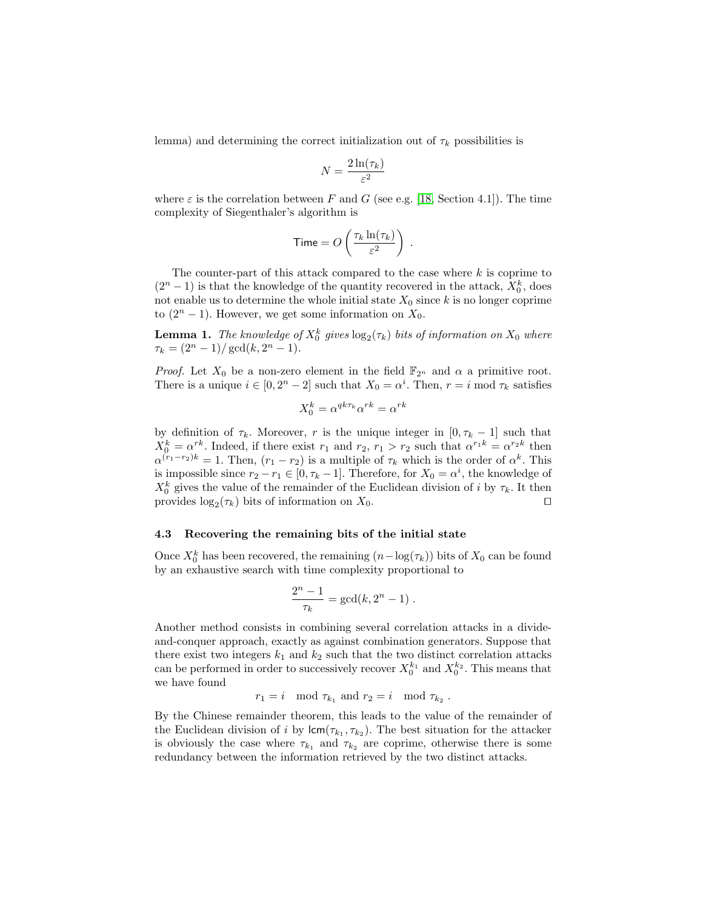lemma) and determining the correct initialization out of  $\tau_k$  possibilities is

$$
N = \frac{2\ln(\tau_k)}{\varepsilon^2}
$$

where  $\varepsilon$  is the correlation between F and G (see e.g. [\[18,](#page-18-11) Section 4.1]). The time complexity of Siegenthaler's algorithm is

$$
\text{Time} = O\left(\frac{\tau_k \ln(\tau_k)}{\varepsilon^2}\right) \ .
$$

The counter-part of this attack compared to the case where  $k$  is coprime to  $(2^{n} - 1)$  is that the knowledge of the quantity recovered in the attack,  $X_{0}^{k}$ , does not enable us to determine the whole initial state  $X_0$  since k is no longer coprime to  $(2^n - 1)$ . However, we get some information on  $X_0$ .

**Lemma 1.** The knowledge of  $X_0^k$  gives  $\log_2(\tau_k)$  bits of information on  $X_0$  where  $\tau_k = (2^n - 1)/\gcd(k, 2^n - 1).$ 

*Proof.* Let  $X_0$  be a non-zero element in the field  $\mathbb{F}_{2^n}$  and  $\alpha$  a primitive root. There is a unique  $i \in [0, 2^n - 2]$  such that  $X_0 = \alpha^i$ . Then,  $r = i \mod \tau_k$  satisfies

$$
X_0^k = \alpha^{qk\tau_k} \alpha^{rk} = \alpha^{rk}
$$

by definition of  $\tau_k$ . Moreover, r is the unique integer in  $[0, \tau_k - 1]$  such that  $X_0^k = \alpha^{rk}$ . Indeed, if there exist  $r_1$  and  $r_2$ ,  $r_1 > r_2$  such that  $\alpha^{r_1 k} = \alpha^{r_2 k}$  then  $\alpha^{(r_1-r_2)k} = 1$ . Then,  $(r_1 - r_2)$  is a multiple of  $\tau_k$  which is the order of  $\alpha^k$ . This is impossible since  $r_2 - r_1 \in [0, \tau_k - 1]$ . Therefore, for  $X_0 = \alpha^i$ , the knowledge of  $X_0^k$  gives the value of the remainder of the Euclidean division of i by  $\tau_k$ . It then provides  $\log_2(\tau_k)$  bits of information on  $X_0$ .

## 4.3 Recovering the remaining bits of the initial state

Once  $X_0^k$  has been recovered, the remaining  $(n - \log(\tau_k))$  bits of  $X_0$  can be found by an exhaustive search with time complexity proportional to

$$
\frac{2^n - 1}{\tau_k} = \gcd(k, 2^n - 1) \; .
$$

Another method consists in combining several correlation attacks in a divideand-conquer approach, exactly as against combination generators. Suppose that there exist two integers  $k_1$  and  $k_2$  such that the two distinct correlation attacks can be performed in order to successively recover  $X_0^{k_1}$  and  $X_0^{k_2}$ . This means that we have found

$$
r_1 = i \mod \tau_{k_1} \text{ and } r_2 = i \mod \tau_{k_2} .
$$

By the Chinese remainder theorem, this leads to the value of the remainder of the Euclidean division of i by  $\mathsf{lcm}(\tau_{k_1}, \tau_{k_2})$ . The best situation for the attacker is obviously the case where  $\tau_{k_1}$  and  $\tau_{k_2}$  are coprime, otherwise there is some redundancy between the information retrieved by the two distinct attacks.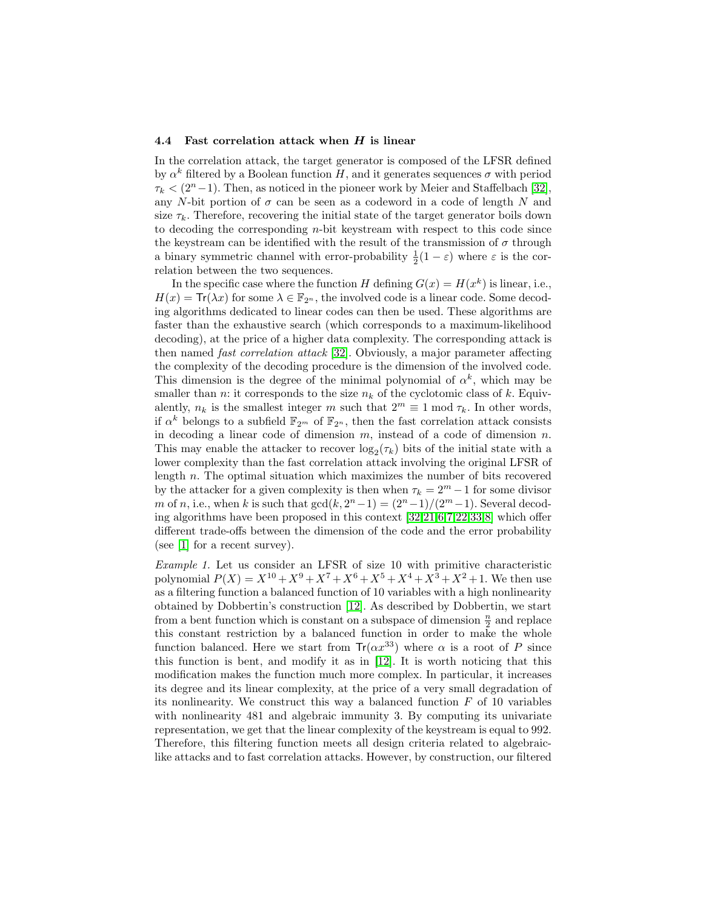#### 4.4 Fast correlation attack when  $H$  is linear

In the correlation attack, the target generator is composed of the LFSR defined by  $\alpha^k$  filtered by a Boolean function H, and it generates sequences  $\sigma$  with period  $\tau_k < (2^n-1)$ . Then, as noticed in the pioneer work by Meier and Staffelbach [\[32\]](#page-19-4), any N-bit portion of  $\sigma$  can be seen as a codeword in a code of length N and size  $\tau_k$ . Therefore, recovering the initial state of the target generator boils down to decoding the corresponding  $n$ -bit keystream with respect to this code since the keystream can be identified with the result of the transmission of  $\sigma$  through a binary symmetric channel with error-probability  $\frac{1}{2}(1-\varepsilon)$  where  $\varepsilon$  is the correlation between the two sequences.

In the specific case where the function H defining  $G(x) = H(x^k)$  is linear, i.e.,  $H(x) = Tr(\lambda x)$  for some  $\lambda \in \mathbb{F}_{2^n}$ , the involved code is a linear code. Some decoding algorithms dedicated to linear codes can then be used. These algorithms are faster than the exhaustive search (which corresponds to a maximum-likelihood decoding), at the price of a higher data complexity. The corresponding attack is then named fast correlation attack [\[32\]](#page-19-4). Obviously, a major parameter affecting the complexity of the decoding procedure is the dimension of the involved code. This dimension is the degree of the minimal polynomial of  $\alpha^k$ , which may be smaller than n: it corresponds to the size  $n_k$  of the cyclotomic class of k. Equivalently,  $n_k$  is the smallest integer m such that  $2^m \equiv 1 \mod 7_k$ . In other words, if  $\alpha^k$  belongs to a subfield  $\mathbb{F}_{2^m}$  of  $\mathbb{F}_{2^n}$ , then the fast correlation attack consists in decoding a linear code of dimension  $m$ , instead of a code of dimension  $n$ . This may enable the attacker to recover  $\log_2(\tau_k)$  bits of the initial state with a lower complexity than the fast correlation attack involving the original LFSR of length n. The optimal situation which maximizes the number of bits recovered by the attacker for a given complexity is then when  $\tau_k = 2^m - 1$  for some divisor m of n, i.e., when k is such that  $gcd(k, 2<sup>n</sup>-1) = (2<sup>n</sup>-1)/(2<sup>m</sup>-1)$ . Several decoding algorithms have been proposed in this context [\[32,](#page-19-4)[21,](#page-19-20)[6,](#page-18-9)[7,](#page-18-12)[22,](#page-19-21)[33,](#page-19-22)[8\]](#page-18-10) which offer different trade-offs between the dimension of the code and the error probability (see [\[1\]](#page-18-13) for a recent survey).

<span id="page-12-0"></span>Example 1. Let us consider an LFSR of size 10 with primitive characteristic polynomial  $P(X) = X^{10} + X^9 + X^7 + X^6 + X^5 + X^4 + X^3 + X^2 + 1$ . We then use as a filtering function a balanced function of 10 variables with a high nonlinearity obtained by Dobbertin's construction [\[12\]](#page-18-14). As described by Dobbertin, we start from a bent function which is constant on a subspace of dimension  $\frac{n}{2}$  and replace this constant restriction by a balanced function in order to make the whole function balanced. Here we start from  $Tr(\alpha x^{33})$  where  $\alpha$  is a root of P since this function is bent, and modify it as in [\[12\]](#page-18-14). It is worth noticing that this modification makes the function much more complex. In particular, it increases its degree and its linear complexity, at the price of a very small degradation of its nonlinearity. We construct this way a balanced function  $F$  of 10 variables with nonlinearity 481 and algebraic immunity 3. By computing its univariate representation, we get that the linear complexity of the keystream is equal to 992. Therefore, this filtering function meets all design criteria related to algebraiclike attacks and to fast correlation attacks. However, by construction, our filtered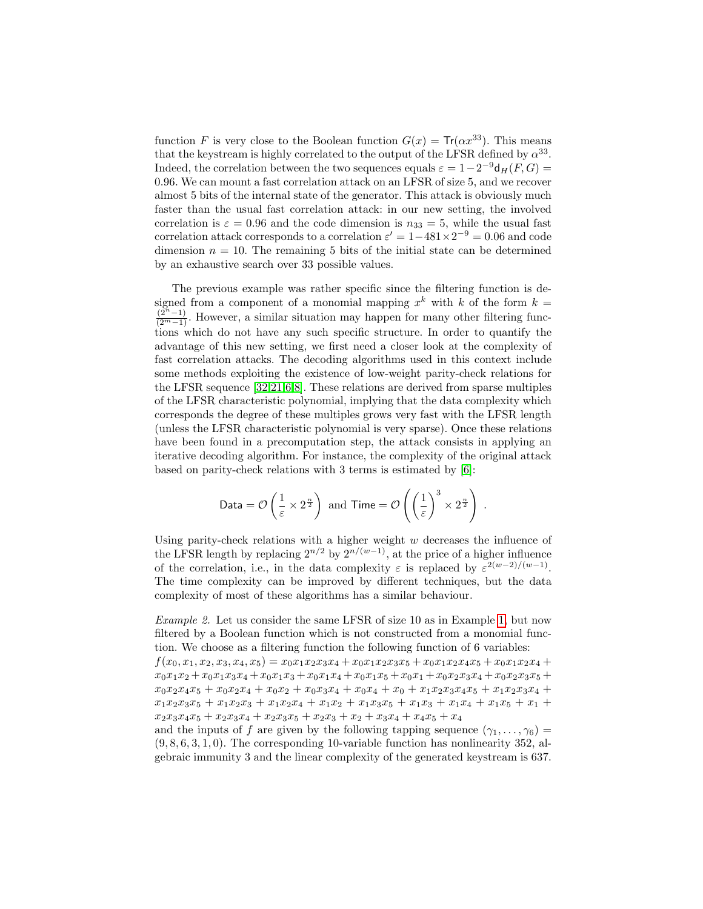function F is very close to the Boolean function  $G(x) = Tr(\alpha x^{33})$ . This means that the keystream is highly correlated to the output of the LFSR defined by  $\alpha^{33}$ . Indeed, the correlation between the two sequences equals  $\varepsilon = 1 - 2^{-9} d_H(F, G) =$ 0.96. We can mount a fast correlation attack on an LFSR of size 5, and we recover almost 5 bits of the internal state of the generator. This attack is obviously much faster than the usual fast correlation attack: in our new setting, the involved correlation is  $\varepsilon = 0.96$  and the code dimension is  $n_{33} = 5$ , while the usual fast correlation attack corresponds to a correlation  $\varepsilon' = 1 - 481 \times 2^{-9} = 0.06$  and code dimension  $n = 10$ . The remaining 5 bits of the initial state can be determined by an exhaustive search over 33 possible values.

The previous example was rather specific since the filtering function is designed from a component of a monomial mapping  $x^k$  with k of the form  $k =$  $\frac{(2^{n}-1)}{(2^m-1)}$ . However, a similar situation may happen for many other filtering functions which do not have any such specific structure. In order to quantify the advantage of this new setting, we first need a closer look at the complexity of fast correlation attacks. The decoding algorithms used in this context include some methods exploiting the existence of low-weight parity-check relations for the LFSR sequence [\[32](#page-19-4)[,21,](#page-19-20)[6,](#page-18-9)[8\]](#page-18-10). These relations are derived from sparse multiples of the LFSR characteristic polynomial, implying that the data complexity which corresponds the degree of these multiples grows very fast with the LFSR length (unless the LFSR characteristic polynomial is very sparse). Once these relations have been found in a precomputation step, the attack consists in applying an iterative decoding algorithm. For instance, the complexity of the original attack based on parity-check relations with 3 terms is estimated by [\[6\]](#page-18-9):

$$
\mathsf{Data} = \mathcal{O}\left(\frac{1}{\varepsilon} \times 2^{\frac{n}{2}}\right) \text{ and } \mathsf{Time} = \mathcal{O}\left(\left(\frac{1}{\varepsilon}\right)^3 \times 2^{\frac{n}{2}}\right) \,.
$$

Using parity-check relations with a higher weight  $w$  decreases the influence of the LFSR length by replacing  $2^{n/2}$  by  $2^{n/(w-1)}$ , at the price of a higher influence of the correlation, i.e., in the data complexity  $\varepsilon$  is replaced by  $\varepsilon^{2(w-2)/(w-1)}$ . The time complexity can be improved by different techniques, but the data complexity of most of these algorithms has a similar behaviour.

<span id="page-13-0"></span>Example 2. Let us consider the same LFSR of size 10 as in Example [1,](#page-12-0) but now filtered by a Boolean function which is not constructed from a monomial function. We choose as a filtering function the following function of 6 variables:

 $f(x_0, x_1, x_2, x_3, x_4, x_5) = x_0x_1x_2x_3x_4 + x_0x_1x_2x_3x_5 + x_0x_1x_2x_4x_5 + x_0x_1x_2x_4 +$  $x_0x_1x_2 + x_0x_1x_3x_4 + x_0x_1x_3 + x_0x_1x_4 + x_0x_1x_5 + x_0x_1 + x_0x_2x_3x_4 + x_0x_2x_3x_5 +$  $x_0x_2x_4x_5 + x_0x_2x_4 + x_0x_2 + x_0x_3x_4 + x_0x_4 + x_0 + x_1x_2x_3x_4x_5 + x_1x_2x_3x_4 +$  $x_1x_2x_3x_5 + x_1x_2x_3 + x_1x_2x_4 + x_1x_2 + x_1x_3x_5 + x_1x_3 + x_1x_4 + x_1x_5 + x_1 +$  $x_2x_3x_4x_5 + x_2x_3x_4 + x_2x_3x_5 + x_2x_3 + x_2 + x_3x_4 + x_4x_5 + x_4$ 

and the inputs of f are given by the following tapping sequence  $(\gamma_1, \ldots, \gamma_6)$  =  $(9, 8, 6, 3, 1, 0)$ . The corresponding 10-variable function has nonlinearity 352, algebraic immunity 3 and the linear complexity of the generated keystream is 637.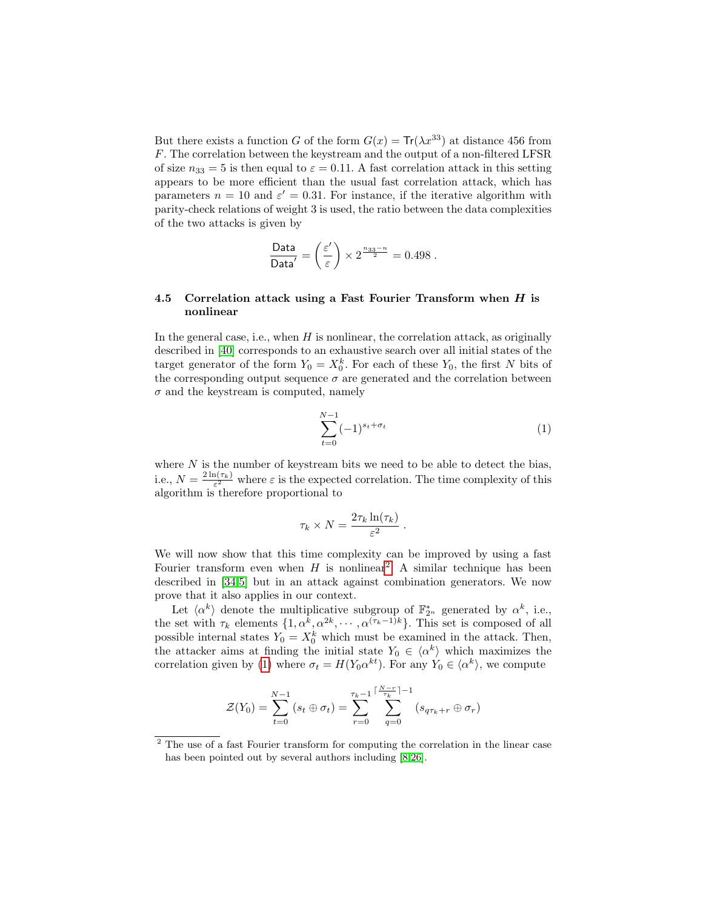But there exists a function G of the form  $G(x) = Tr(\lambda x^{33})$  at distance 456 from F. The correlation between the keystream and the output of a non-filtered LFSR of size  $n_{33} = 5$  is then equal to  $\varepsilon = 0.11$ . A fast correlation attack in this setting appears to be more efficient than the usual fast correlation attack, which has parameters  $n = 10$  and  $\varepsilon' = 0.31$ . For instance, if the iterative algorithm with parity-check relations of weight 3 is used, the ratio between the data complexities of the two attacks is given by

$$
\frac{\text{Data}}{\text{Data}'} = \left(\frac{\varepsilon'}{\varepsilon}\right) \times 2^{\frac{n_{33}-n}{2}} = 0.498.
$$

### 4.5 Correlation attack using a Fast Fourier Transform when  $H$  is nonlinear

In the general case, i.e., when  $H$  is nonlinear, the correlation attack, as originally described in [\[40\]](#page-19-19) corresponds to an exhaustive search over all initial states of the target generator of the form  $Y_0 = X_0^k$ . For each of these  $Y_0$ , the first N bits of the corresponding output sequence  $\sigma$  are generated and the correlation between  $\sigma$  and the keystream is computed, namely

<span id="page-14-1"></span>
$$
\sum_{t=0}^{N-1} (-1)^{s_t + \sigma_t} \tag{1}
$$

where  $N$  is the number of keystream bits we need to be able to detect the bias, i.e.,  $N = \frac{2 \ln(\tau_k)}{\varepsilon^2}$  where  $\varepsilon$  is the expected correlation. The time complexity of this algorithm is therefore proportional to

$$
\tau_k \times N = \frac{2\tau_k \ln(\tau_k)}{\varepsilon^2}.
$$

We will now show that this time complexity can be improved by using a fast Fourier transform even when  $H$  is nonlinear<sup>[2](#page-14-0)</sup>. A similar technique has been described in [\[34](#page-19-2)[,5\]](#page-18-15) but in an attack against combination generators. We now prove that it also applies in our context.

Let  $\langle \alpha^k \rangle$  denote the multiplicative subgroup of  $\mathbb{F}_{2^n}^*$  generated by  $\alpha^k$ , i.e., the set with  $\tau_k$  elements  $\{1, \alpha^k, \alpha^{2k}, \cdots, \alpha^{(\tau_k-1)k}\}\.$  This set is composed of all possible internal states  $Y_0 = X_0^k$  which must be examined in the attack. Then, the attacker aims at finding the initial state  $Y_0 \in \langle \alpha^k \rangle$  which maximizes the correlation given by [\(1\)](#page-14-1) where  $\sigma_t = H(Y_0 \alpha^{kt})$ . For any  $Y_0 \in \langle \alpha^k \rangle$ , we compute

$$
\mathcal{Z}(Y_0) = \sum_{t=0}^{N-1} (s_t \oplus \sigma_t) = \sum_{r=0}^{\tau_k-1} \sum_{q=0}^{\lceil \frac{N-r}{\tau_k} \rceil-1} (s_{q\tau_k+r} \oplus \sigma_r)
$$

<span id="page-14-0"></span> $\overline{a}$  The use of a fast Fourier transform for computing the correlation in the linear case has been pointed out by several authors including [\[8](#page-18-10)[,26\]](#page-19-1).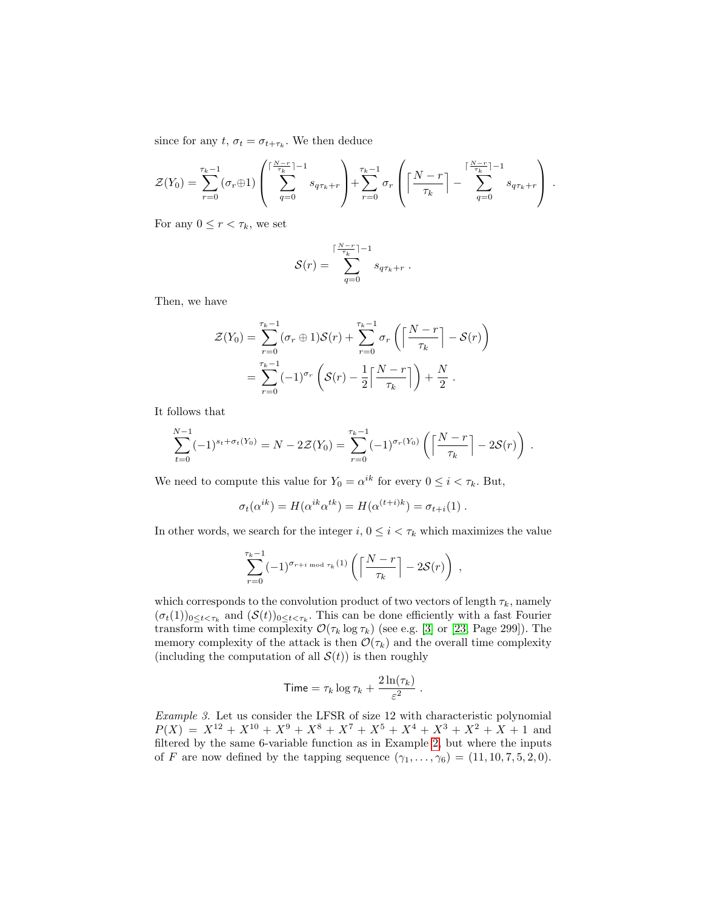since for any  $t, \sigma_t = \sigma_{t+\tau_k}$ . We then deduce

$$
\mathcal{Z}(Y_0) = \sum_{r=0}^{\tau_k-1} (\sigma_r \oplus 1) \left( \sum_{q=0}^{\lceil \frac{N-r}{\tau_k} \rceil-1} s_{q\tau_k+r} \right) + \sum_{r=0}^{\tau_k-1} \sigma_r \left( \left\lceil \frac{N-r}{\tau_k} \right\rceil - \sum_{q=0}^{\lceil \frac{N-r}{\tau_k} \rceil-1} s_{q\tau_k+r} \right).
$$

For any  $0 \leq r < \tau_k$ , we set

$$
\mathcal{S}(r) = \sum_{q=0}^{\lceil \frac{N-r}{\tau_k} \rceil - 1} s_{q\tau_k + r}.
$$

Then, we have

$$
\mathcal{Z}(Y_0) = \sum_{r=0}^{\tau_k - 1} (\sigma_r \oplus 1) \mathcal{S}(r) + \sum_{r=0}^{\tau_k - 1} \sigma_r \left( \left\lceil \frac{N - r}{\tau_k} \right\rceil - \mathcal{S}(r) \right)
$$

$$
= \sum_{r=0}^{\tau_k - 1} (-1)^{\sigma_r} \left( \mathcal{S}(r) - \frac{1}{2} \left\lceil \frac{N - r}{\tau_k} \right\rceil \right) + \frac{N}{2}.
$$

It follows that

$$
\sum_{t=0}^{N-1} (-1)^{s_t + \sigma_t(Y_0)} = N - 2\mathcal{Z}(Y_0) = \sum_{r=0}^{\tau_k - 1} (-1)^{\sigma_r(Y_0)} \left( \left\lceil \frac{N-r}{\tau_k} \right\rceil - 2\mathcal{S}(r) \right) .
$$

We need to compute this value for  $Y_0 = \alpha^{ik}$  for every  $0 \leq i < \tau_k$ . But,

$$
\sigma_t(\alpha^{ik}) = H(\alpha^{ik}\alpha^{tk}) = H(\alpha^{(t+i)k}) = \sigma_{t+i}(1) .
$$

In other words, we search for the integer  $i, 0 \leq i < \tau_k$  which maximizes the value

$$
\sum_{r=0}^{\tau_k-1} (-1)^{\sigma_{r+i \bmod \tau_k}(1)} \left( \left\lceil \frac{N-r}{\tau_k} \right\rceil - 2\mathcal{S}(r) \right) ,
$$

which corresponds to the convolution product of two vectors of length  $\tau_k$ , namely  $(\sigma_t(1))_{0 \leq t < \tau_k}$  and  $(\mathcal{S}(t))_{0 \leq t < \tau_k}$ . This can be done efficiently with a fast Fourier transform with time complexity  $\mathcal{O}(\tau_k \log \tau_k)$  (see e.g. [\[3\]](#page-18-16) or [\[23,](#page-19-23) Page 299]). The memory complexity of the attack is then  $\mathcal{O}(\tau_k)$  and the overall time complexity (including the computation of all  $S(t)$ ) is then roughly

Time = 
$$
\tau_k \log \tau_k + \frac{2 \ln(\tau_k)}{\varepsilon^2}
$$
.

Example 3. Let us consider the LFSR of size 12 with characteristic polynomial  $P(X) = X^{12} + X^{10} + X^9 + X^8 + X^7 + X^5 + X^4 + X^3 + X^2 + X + 1$  and filtered by the same 6-variable function as in Example [2,](#page-13-0) but where the inputs of F are now defined by the tapping sequence  $(\gamma_1, \ldots, \gamma_6) = (11, 10, 7, 5, 2, 0).$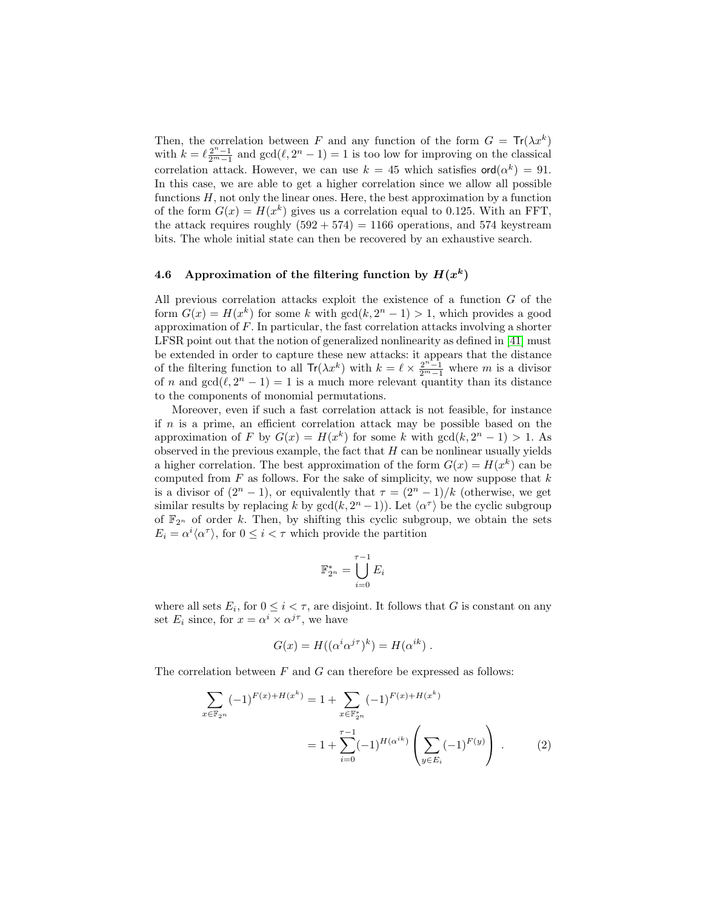Then, the correlation between F and any function of the form  $G = Tr(\lambda x^k)$ with  $k = \ell \frac{2^{n}-1}{2^{m}-1}$  and  $gcd(\ell, 2^{n}-1) = 1$  is too low for improving on the classical correlation attack. However, we can use  $k = 45$  which satisfies  $\text{ord}(\alpha^k) = 91$ . In this case, we are able to get a higher correlation since we allow all possible functions  $H$ , not only the linear ones. Here, the best approximation by a function of the form  $G(x) = H(x^k)$  gives us a correlation equal to 0.125. With an FFT, the attack requires roughly  $(592 + 574) = 1166$  operations, and 574 keystream bits. The whole initial state can then be recovered by an exhaustive search.

## 4.6 Approximation of the filtering function by  $H(x^k)$

All previous correlation attacks exploit the existence of a function G of the form  $G(x) = H(x^k)$  for some k with  $gcd(k, 2^n - 1) > 1$ , which provides a good approximation of F. In particular, the fast correlation attacks involving a shorter LFSR point out that the notion of generalized nonlinearity as defined in [\[41\]](#page-19-8) must be extended in order to capture these new attacks: it appears that the distance of the filtering function to all  $\text{Tr}(\lambda x^k)$  with  $k = \ell \times \frac{2^{n-1}}{2^m-1}$  where m is a divisor of n and  $gcd(\ell, 2^n - 1) = 1$  is a much more relevant quantity than its distance to the components of monomial permutations.

Moreover, even if such a fast correlation attack is not feasible, for instance if  $n$  is a prime, an efficient correlation attack may be possible based on the approximation of F by  $G(x) = H(x^k)$  for some k with  $gcd(k, 2^n - 1) > 1$ . As observed in the previous example, the fact that  $H$  can be nonlinear usually yields a higher correlation. The best approximation of the form  $G(x) = H(x^k)$  can be computed from  $F$  as follows. For the sake of simplicity, we now suppose that  $k$ is a divisor of  $(2^{n} - 1)$ , or equivalently that  $\tau = (2^{n} - 1)/k$  (otherwise, we get similar results by replacing k by  $gcd(k, 2<sup>n</sup> - 1)$ ). Let  $\langle \alpha^{\tau} \rangle$  be the cyclic subgroup of  $\mathbb{F}_{2^n}$  of order k. Then, by shifting this cyclic subgroup, we obtain the sets  $E_i = \alpha^i \langle \alpha^{\tau} \rangle$ , for  $0 \leq i < \tau$  which provide the partition

$$
\mathbb{F}_{2^n}^* = \bigcup_{i=0}^{\tau-1} E_i
$$

where all sets  $E_i$ , for  $0 \leq i < \tau$ , are disjoint. It follows that G is constant on any set  $E_i$  since, for  $x = \alpha^i \times \alpha^{j\tau}$ , we have

$$
G(x) = H((\alpha^i \alpha^{j\tau})^k) = H(\alpha^{ik}).
$$

The correlation between  $F$  and  $G$  can therefore be expressed as follows:

<span id="page-16-0"></span>
$$
\sum_{x \in \mathbb{F}_{2^n}} (-1)^{F(x) + H(x^k)} = 1 + \sum_{x \in \mathbb{F}_{2^n}^*} (-1)^{F(x) + H(x^k)}
$$

$$
= 1 + \sum_{i=0}^{\tau-1} (-1)^{H(\alpha^{ik})} \left( \sum_{y \in E_i} (-1)^{F(y)} \right) . \tag{2}
$$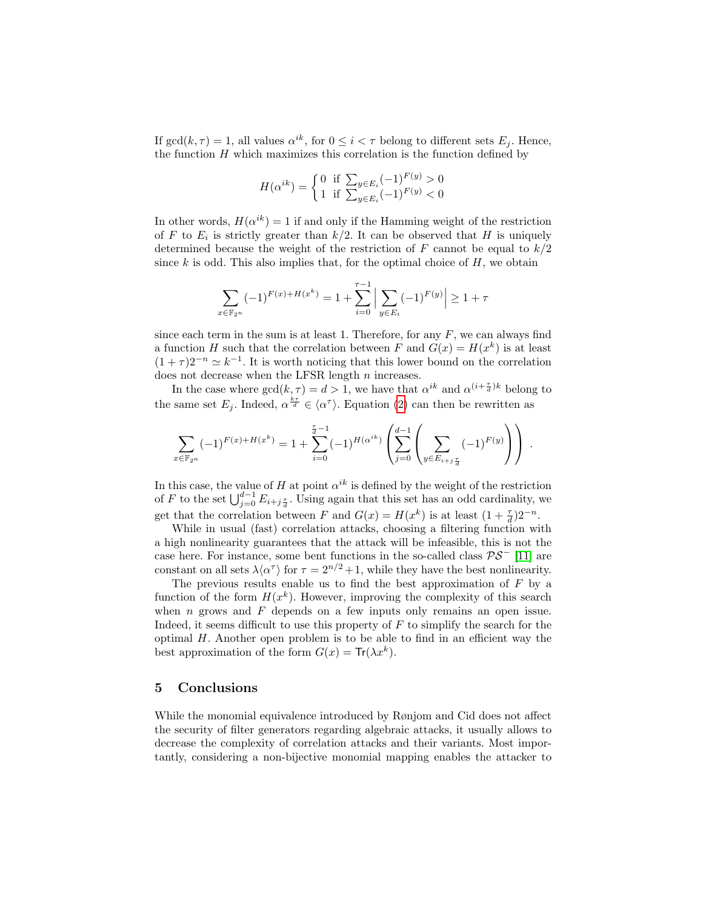If  $gcd(k, \tau) = 1$ , all values  $\alpha^{ik}$ , for  $0 \leq i < \tau$  belong to different sets  $E_j$ . Hence, the function  $H$  which maximizes this correlation is the function defined by

$$
H(\alpha^{ik}) = \begin{cases} 0 & \text{if } \sum_{y \in E_i} (-1)^{F(y)} > 0 \\ 1 & \text{if } \sum_{y \in E_i} (-1)^{F(y)} < 0 \end{cases}
$$

In other words,  $H(\alpha^{ik}) = 1$  if and only if the Hamming weight of the restriction of F to  $E_i$  is strictly greater than  $k/2$ . It can be observed that H is uniquely determined because the weight of the restriction of F cannot be equal to  $k/2$ since k is odd. This also implies that, for the optimal choice of  $H$ , we obtain

$$
\sum_{x \in \mathbb{F}_{2^n}} (-1)^{F(x) + H(x^k)} = 1 + \sum_{i=0}^{\tau-1} \left| \sum_{y \in E_i} (-1)^{F(y)} \right| \ge 1 + \tau
$$

since each term in the sum is at least 1. Therefore, for any  $F$ , we can always find a function H such that the correlation between F and  $G(x) = H(x^k)$  is at least  $(1 + \tau)2^{-n} \simeq k^{-1}$ . It is worth noticing that this lower bound on the correlation does not decrease when the LFSR length  $n$  increases.

In the case where  $gcd(k, \tau) = d > 1$ , we have that  $\alpha^{ik}$  and  $\alpha^{(i + \frac{\tau}{d})k}$  belong to the same set  $E_j$ . Indeed,  $\alpha^{\frac{k\tau}{d}} \in \langle \alpha^{\tau} \rangle$ . Equation [\(2\)](#page-16-0) can then be rewritten as

$$
\sum_{x \in \mathbb{F}_{2^n}} (-1)^{F(x) + H(x^k)} = 1 + \sum_{i=0}^{\frac{\tau}{d}-1} (-1)^{H(\alpha^{ik})} \left( \sum_{j=0}^{d-1} \left( \sum_{y \in E_{i+j\frac{\tau}{d}}} (-1)^{F(y)} \right) \right).
$$

In this case, the value of H at point  $\alpha^{ik}$  is defined by the weight of the restriction of F to the set  $\bigcup_{j=0}^{d-1} E_{i+j\frac{\tau}{d}}$ . Using again that this set has an odd cardinality, we get that the correlation between F and  $G(x) = H(x^k)$  is at least  $(1 + \frac{\tau}{d})2^{-n}$ .

While in usual (fast) correlation attacks, choosing a filtering function with a high nonlinearity guarantees that the attack will be infeasible, this is not the case here. For instance, some bent functions in the so-called class  $\mathcal{PS}^-$  [\[11\]](#page-18-17) are constant on all sets  $\lambda \langle \alpha^{\tau} \rangle$  for  $\tau = 2^{n/2} + 1$ , while they have the best nonlinearity.

The previous results enable us to find the best approximation of  $F$  by a function of the form  $H(x^k)$ . However, improving the complexity of this search when  $n$  grows and  $F$  depends on a few inputs only remains an open issue. Indeed, it seems difficult to use this property of  $F$  to simplify the search for the optimal  $H$ . Another open problem is to be able to find in an efficient way the best approximation of the form  $G(x) = Tr(\lambda x^k)$ .

## 5 Conclusions

While the monomial equivalence introduced by Rønjom and Cid does not affect the security of filter generators regarding algebraic attacks, it usually allows to decrease the complexity of correlation attacks and their variants. Most importantly, considering a non-bijective monomial mapping enables the attacker to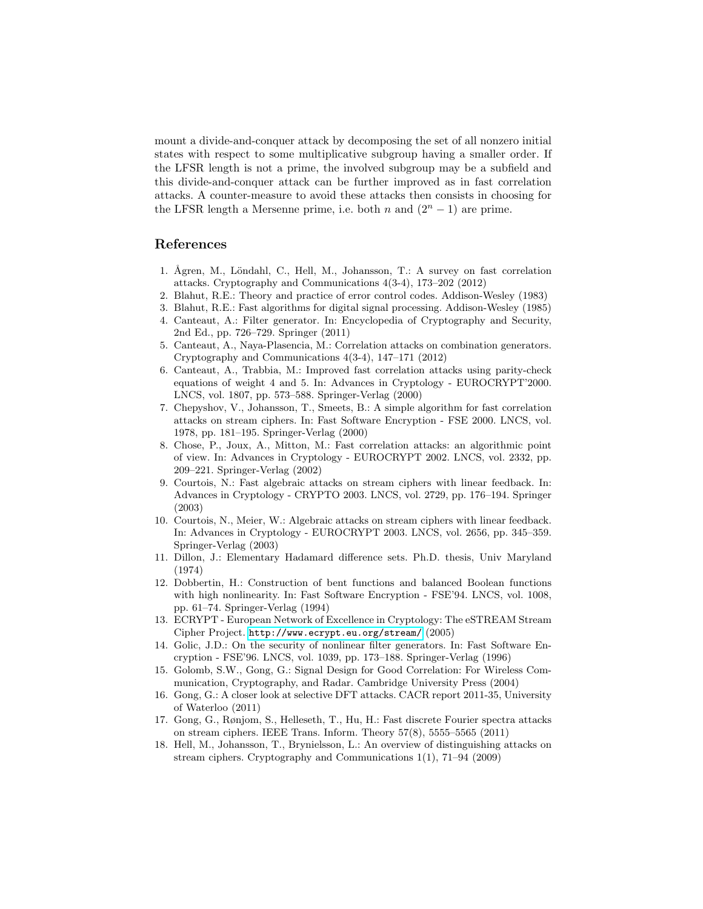mount a divide-and-conquer attack by decomposing the set of all nonzero initial states with respect to some multiplicative subgroup having a smaller order. If the LFSR length is not a prime, the involved subgroup may be a subfield and this divide-and-conquer attack can be further improved as in fast correlation attacks. A counter-measure to avoid these attacks then consists in choosing for the LFSR length a Mersenne prime, i.e. both n and  $(2<sup>n</sup> - 1)$  are prime.

# References

- <span id="page-18-13"></span>1. Ågren, M., Löndahl, C., Hell, M., Johansson, T.: A survey on fast correlation attacks. Cryptography and Communications 4(3-4), 173–202 (2012)
- <span id="page-18-6"></span>2. Blahut, R.E.: Theory and practice of error control codes. Addison-Wesley (1983)
- <span id="page-18-16"></span>3. Blahut, R.E.: Fast algorithms for digital signal processing. Addison-Wesley (1985)
- <span id="page-18-5"></span>4. Canteaut, A.: Filter generator. In: Encyclopedia of Cryptography and Security, 2nd Ed., pp. 726–729. Springer (2011)
- <span id="page-18-15"></span>5. Canteaut, A., Naya-Plasencia, M.: Correlation attacks on combination generators. Cryptography and Communications 4(3-4), 147–171 (2012)
- <span id="page-18-9"></span>6. Canteaut, A., Trabbia, M.: Improved fast correlation attacks using parity-check equations of weight 4 and 5. In: Advances in Cryptology - EUROCRYPT'2000. LNCS, vol. 1807, pp. 573–588. Springer-Verlag (2000)
- <span id="page-18-12"></span>7. Chepyshov, V., Johansson, T., Smeets, B.: A simple algorithm for fast correlation attacks on stream ciphers. In: Fast Software Encryption - FSE 2000. LNCS, vol. 1978, pp. 181–195. Springer-Verlag (2000)
- <span id="page-18-10"></span>8. Chose, P., Joux, A., Mitton, M.: Fast correlation attacks: an algorithmic point of view. In: Advances in Cryptology - EUROCRYPT 2002. LNCS, vol. 2332, pp. 209–221. Springer-Verlag (2002)
- <span id="page-18-2"></span>9. Courtois, N.: Fast algebraic attacks on stream ciphers with linear feedback. In: Advances in Cryptology - CRYPTO 2003. LNCS, vol. 2729, pp. 176–194. Springer (2003)
- <span id="page-18-1"></span>10. Courtois, N., Meier, W.: Algebraic attacks on stream ciphers with linear feedback. In: Advances in Cryptology - EUROCRYPT 2003. LNCS, vol. 2656, pp. 345–359. Springer-Verlag (2003)
- <span id="page-18-17"></span>11. Dillon, J.: Elementary Hadamard difference sets. Ph.D. thesis, Univ Maryland (1974)
- <span id="page-18-14"></span>12. Dobbertin, H.: Construction of bent functions and balanced Boolean functions with high nonlinearity. In: Fast Software Encryption - FSE'94. LNCS, vol. 1008, pp. 61–74. Springer-Verlag (1994)
- <span id="page-18-0"></span>13. ECRYPT - European Network of Excellence in Cryptology: The eSTREAM Stream Cipher Project. <http://www.ecrypt.eu.org/stream/> (2005)
- <span id="page-18-4"></span>14. Golic, J.D.: On the security of nonlinear filter generators. In: Fast Software Encryption - FSE'96. LNCS, vol. 1039, pp. 173–188. Springer-Verlag (1996)
- <span id="page-18-7"></span>15. Golomb, S.W., Gong, G.: Signal Design for Good Correlation: For Wireless Communication, Cryptography, and Radar. Cambridge University Press (2004)
- <span id="page-18-8"></span>16. Gong, G.: A closer look at selective DFT attacks. CACR report 2011-35, University of Waterloo (2011)
- <span id="page-18-3"></span>17. Gong, G., Rønjom, S., Helleseth, T., Hu, H.: Fast discrete Fourier spectra attacks on stream ciphers. IEEE Trans. Inform. Theory 57(8), 5555–5565 (2011)
- <span id="page-18-11"></span>18. Hell, M., Johansson, T., Brynielsson, L.: An overview of distinguishing attacks on stream ciphers. Cryptography and Communications 1(1), 71–94 (2009)